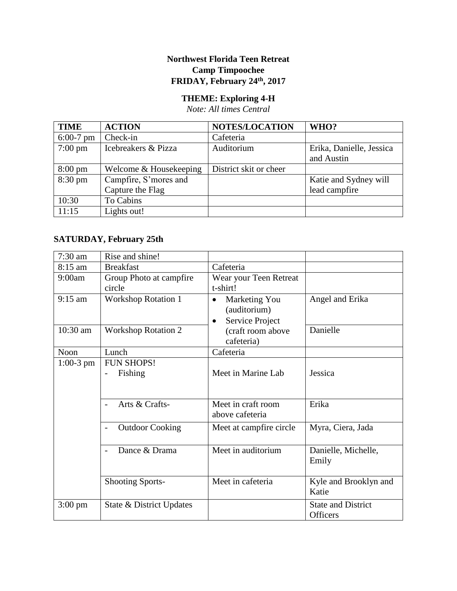## **Northwest Florida Teen Retreat Camp Timpoochee FRIDAY, February 24th, 2017**

## **THEME: Exploring 4-H**

*Note: All times Central*

| <b>TIME</b>       | <b>ACTION</b>          | <b>NOTES/LOCATION</b>  | WHO?                     |
|-------------------|------------------------|------------------------|--------------------------|
| $6:00-7$ pm       | Check-in               | Cafeteria              |                          |
| $7:00 \text{ pm}$ | Icebreakers & Pizza    | Auditorium             | Erika, Danielle, Jessica |
|                   |                        |                        | and Austin               |
| $8:00 \text{ pm}$ | Welcome & Housekeeping | District skit or cheer |                          |
| $8:30 \text{ pm}$ | Campfire, S'mores and  |                        | Katie and Sydney will    |
|                   | Capture the Flag       |                        | lead campfire            |
| 10:30             | To Cabins              |                        |                          |
| 11:15             | Lights out!            |                        |                          |

## **SATURDAY, February 25th**

| 7:30 am           | Rise and shine!                                   |                                                                            |                                              |
|-------------------|---------------------------------------------------|----------------------------------------------------------------------------|----------------------------------------------|
| 8:15 am           | <b>Breakfast</b>                                  | Cafeteria                                                                  |                                              |
| 9:00am            | Group Photo at campfire<br>circle                 | Wear your Teen Retreat<br>t-shirt!                                         |                                              |
| $9:15$ am         | <b>Workshop Rotation 1</b>                        | Marketing You<br>$\bullet$<br>(auditorium)<br>Service Project<br>$\bullet$ | Angel and Erika                              |
| $10:30$ am        | <b>Workshop Rotation 2</b>                        | (craft room above<br>cafeteria)                                            | Danielle                                     |
| Noon              | Lunch                                             | Cafeteria                                                                  |                                              |
| $1:00-3$ pm       | <b>FUN SHOPS!</b><br>Fishing<br>$\qquad \qquad -$ | Meet in Marine Lab                                                         | Jessica                                      |
|                   | Arts & Crafts-                                    | Meet in craft room<br>above cafeteria                                      | Erika                                        |
|                   | <b>Outdoor Cooking</b>                            | Meet at campfire circle                                                    | Myra, Ciera, Jada                            |
|                   | Dance & Drama                                     | Meet in auditorium                                                         | Danielle, Michelle,<br>Emily                 |
|                   | <b>Shooting Sports-</b>                           | Meet in cafeteria                                                          | Kyle and Brooklyn and<br>Katie               |
| $3:00 \text{ pm}$ | State & District Updates                          |                                                                            | <b>State and District</b><br><b>Officers</b> |